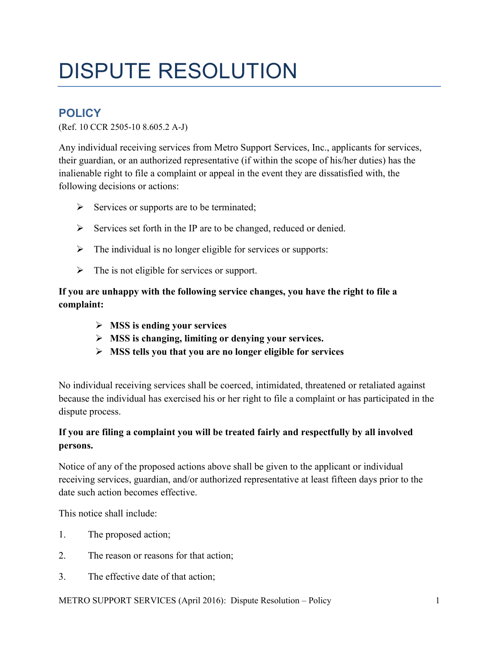# DISPUTE RESOLUTION

# **POLICY**

(Ref. 10 CCR 2505-10 8.605.2 A-J)

Any individual receiving services from Metro Support Services, Inc., applicants for services, their guardian, or an authorized representative (if within the scope of his/her duties) has the inalienable right to file a complaint or appeal in the event they are dissatisfied with, the following decisions or actions:

- $\triangleright$  Services or supports are to be terminated;
- $\triangleright$  Services set forth in the IP are to be changed, reduced or denied.
- $\triangleright$  The individual is no longer eligible for services or supports:
- $\triangleright$  The is not eligible for services or support.

#### **If you are unhappy with the following service changes, you have the right to file a complaint:**

- **MSS is ending your services**
- **MSS is changing, limiting or denying your services.**
- **MSS tells you that you are no longer eligible for services**

No individual receiving services shall be coerced, intimidated, threatened or retaliated against because the individual has exercised his or her right to file a complaint or has participated in the dispute process.

# **If you are filing a complaint you will be treated fairly and respectfully by all involved persons.**

Notice of any of the proposed actions above shall be given to the applicant or individual receiving services, guardian, and/or authorized representative at least fifteen days prior to the date such action becomes effective.

This notice shall include:

- 1. The proposed action;
- 2. The reason or reasons for that action;
- 3. The effective date of that action;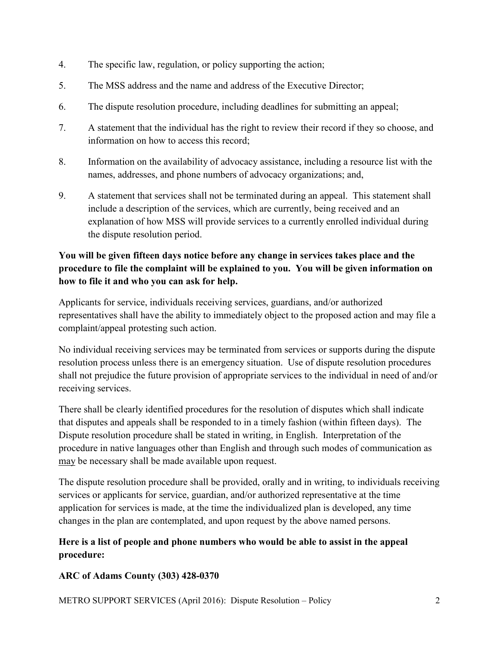- 4. The specific law, regulation, or policy supporting the action;
- 5. The MSS address and the name and address of the Executive Director;
- 6. The dispute resolution procedure, including deadlines for submitting an appeal;
- 7. A statement that the individual has the right to review their record if they so choose, and information on how to access this record;
- 8. Information on the availability of advocacy assistance, including a resource list with the names, addresses, and phone numbers of advocacy organizations; and,
- 9. A statement that services shall not be terminated during an appeal. This statement shall include a description of the services, which are currently, being received and an explanation of how MSS will provide services to a currently enrolled individual during the dispute resolution period.

# **You will be given fifteen days notice before any change in services takes place and the procedure to file the complaint will be explained to you. You will be given information on how to file it and who you can ask for help.**

Applicants for service, individuals receiving services, guardians, and/or authorized representatives shall have the ability to immediately object to the proposed action and may file a complaint/appeal protesting such action.

No individual receiving services may be terminated from services or supports during the dispute resolution process unless there is an emergency situation. Use of dispute resolution procedures shall not prejudice the future provision of appropriate services to the individual in need of and/or receiving services.

There shall be clearly identified procedures for the resolution of disputes which shall indicate that disputes and appeals shall be responded to in a timely fashion (within fifteen days). The Dispute resolution procedure shall be stated in writing, in English. Interpretation of the procedure in native languages other than English and through such modes of communication as may be necessary shall be made available upon request.

The dispute resolution procedure shall be provided, orally and in writing, to individuals receiving services or applicants for service, guardian, and/or authorized representative at the time application for services is made, at the time the individualized plan is developed, any time changes in the plan are contemplated, and upon request by the above named persons.

# **Here is a list of people and phone numbers who would be able to assist in the appeal procedure:**

#### **ARC of Adams County (303) 428-0370**

METRO SUPPORT SERVICES (April 2016): Dispute Resolution – Policy 2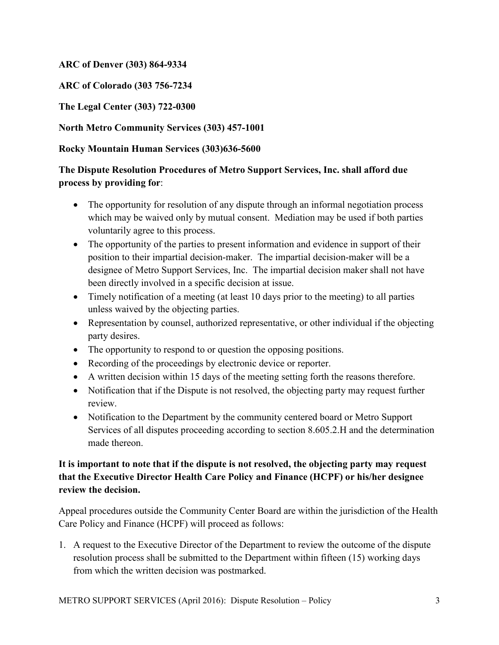#### **ARC of Denver (303) 864-9334**

**ARC of Colorado (303 756-7234** 

**The Legal Center (303) 722-0300** 

#### **North Metro Community Services (303) 457-1001**

#### **Rocky Mountain Human Services (303)636-5600**

#### **The Dispute Resolution Procedures of Metro Support Services, Inc. shall afford due process by providing for**:

- The opportunity for resolution of any dispute through an informal negotiation process which may be waived only by mutual consent. Mediation may be used if both parties voluntarily agree to this process.
- The opportunity of the parties to present information and evidence in support of their position to their impartial decision-maker. The impartial decision-maker will be a designee of Metro Support Services, Inc. The impartial decision maker shall not have been directly involved in a specific decision at issue.
- Timely notification of a meeting (at least 10 days prior to the meeting) to all parties unless waived by the objecting parties.
- Representation by counsel, authorized representative, or other individual if the objecting party desires.
- The opportunity to respond to or question the opposing positions.
- Recording of the proceedings by electronic device or reporter.
- A written decision within 15 days of the meeting setting forth the reasons therefore.
- Notification that if the Dispute is not resolved, the objecting party may request further review.
- Notification to the Department by the community centered board or Metro Support Services of all disputes proceeding according to section 8.605.2.H and the determination made thereon.

# **It is important to note that if the dispute is not resolved, the objecting party may request that the Executive Director Health Care Policy and Finance (HCPF) or his/her designee review the decision.**

Appeal procedures outside the Community Center Board are within the jurisdiction of the Health Care Policy and Finance (HCPF) will proceed as follows:

1. A request to the Executive Director of the Department to review the outcome of the dispute resolution process shall be submitted to the Department within fifteen (15) working days from which the written decision was postmarked.